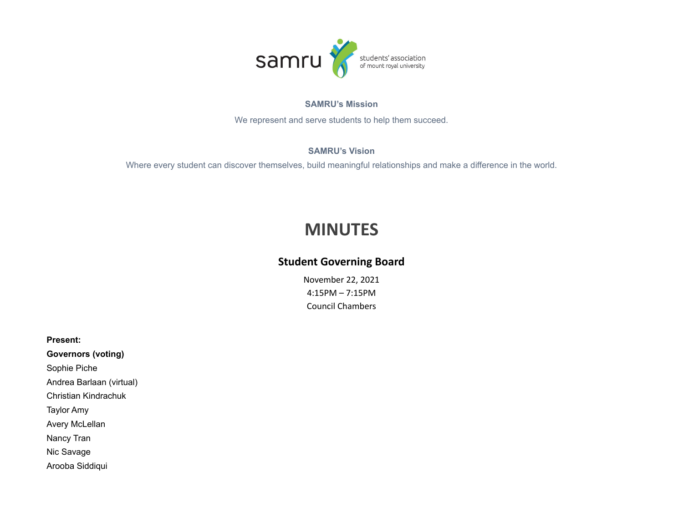

# **SAMRU's Mission**

We represent and serve students to help them succeed.

# **SAMRU's Vision**

Where every student can discover themselves, build meaningful relationships and make a difference in the world.

# **MINUTES**

# **Student Governing Board**

November 22, 2021 4:15PM – 7:15PM Council Chambers

**Present:**

**Governors (voting)** Sophie Piche Andrea Barlaan (virtual) Christian Kindrachuk Taylor Amy Avery McLellan Nancy Tran Nic Savage Arooba Siddiqui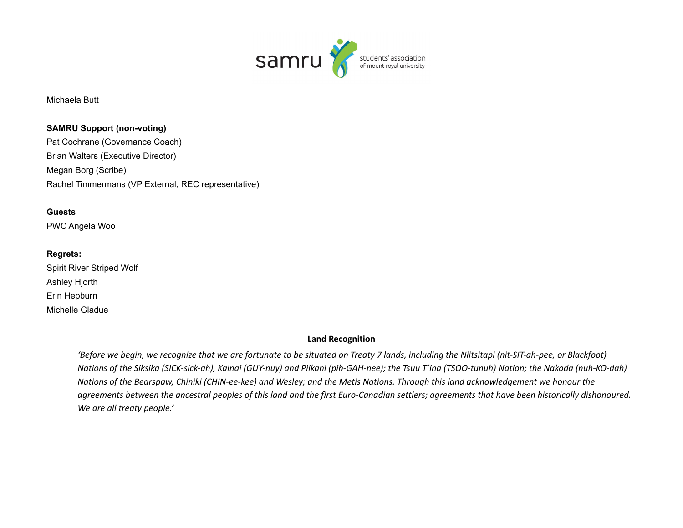

Michaela Butt

**SAMRU Support (non-voting)** Pat Cochrane (Governance Coach) Brian Walters (Executive Director) Megan Borg (Scribe) Rachel Timmermans (VP External, REC representative)

### **Guests**

PWC Angela Woo

# **Regrets:**

Spirit River Striped Wolf Ashley Hjorth Erin Hepburn Michelle Gladue

#### **Land Recognition**

'Before we begin, we recognize that we are fortunate to be situated on Treaty 7 lands, including the Niitsitapi (nit-SIT-ah-pee, or Blackfoot) Nations of the Siksika (SICK-sick-ah), Kainai (GUY-nuy) and Piikani (pih-GAH-nee); the Tsuu T'ina (TSOO-tunuh) Nation; the Nakoda (nuh-KO-dah) Nations of the Bearspaw, Chiniki (CHIN-ee-kee) and Wesley; and the Metis Nations. Through this land acknowledgement we honour the agreements between the ancestral peoples of this land and the first Euro-Canadian settlers; agreements that have been historically dishonoured. *We are all treaty people.'*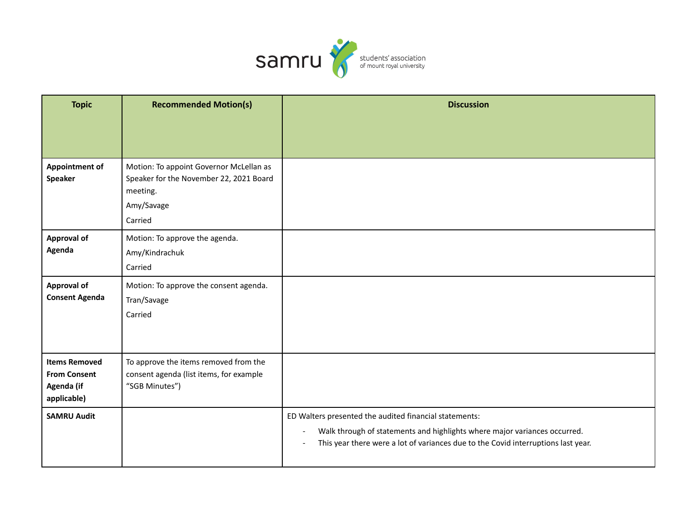

| <b>Topic</b>                                                             | <b>Recommended Motion(s)</b>                                                                                 | <b>Discussion</b>                                                                                                                                                                                                        |
|--------------------------------------------------------------------------|--------------------------------------------------------------------------------------------------------------|--------------------------------------------------------------------------------------------------------------------------------------------------------------------------------------------------------------------------|
|                                                                          |                                                                                                              |                                                                                                                                                                                                                          |
|                                                                          |                                                                                                              |                                                                                                                                                                                                                          |
| <b>Appointment of</b><br>Speaker                                         | Motion: To appoint Governor McLellan as<br>Speaker for the November 22, 2021 Board<br>meeting.<br>Amy/Savage |                                                                                                                                                                                                                          |
|                                                                          | Carried                                                                                                      |                                                                                                                                                                                                                          |
| <b>Approval of</b><br>Agenda                                             | Motion: To approve the agenda.<br>Amy/Kindrachuk<br>Carried                                                  |                                                                                                                                                                                                                          |
| <b>Approval of</b><br><b>Consent Agenda</b>                              | Motion: To approve the consent agenda.<br>Tran/Savage<br>Carried                                             |                                                                                                                                                                                                                          |
| <b>Items Removed</b><br><b>From Consent</b><br>Agenda (if<br>applicable) | To approve the items removed from the<br>consent agenda (list items, for example<br>"SGB Minutes")           |                                                                                                                                                                                                                          |
| <b>SAMRU Audit</b>                                                       |                                                                                                              | ED Walters presented the audited financial statements:<br>Walk through of statements and highlights where major variances occurred.<br>This year there were a lot of variances due to the Covid interruptions last year. |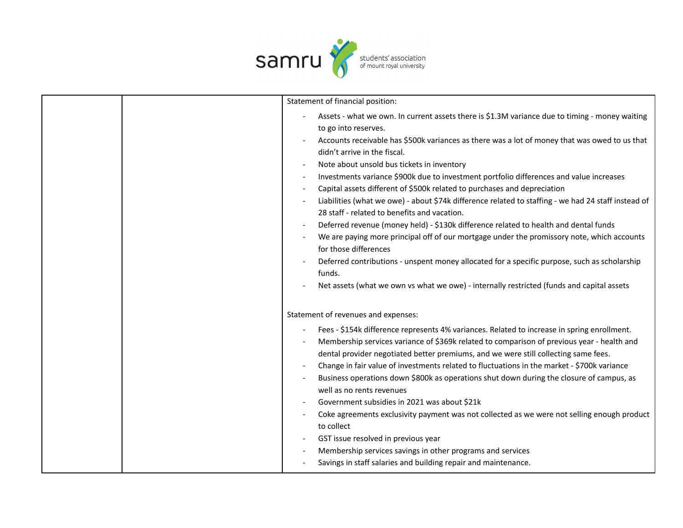

| Statement of financial position:                                                                                                                                                                                                                                                                                                                                                                                                                                                                                                                                                                                                                                                                                                                                                                                                                                                                                                                                                                                                                          |
|-----------------------------------------------------------------------------------------------------------------------------------------------------------------------------------------------------------------------------------------------------------------------------------------------------------------------------------------------------------------------------------------------------------------------------------------------------------------------------------------------------------------------------------------------------------------------------------------------------------------------------------------------------------------------------------------------------------------------------------------------------------------------------------------------------------------------------------------------------------------------------------------------------------------------------------------------------------------------------------------------------------------------------------------------------------|
| Assets - what we own. In current assets there is \$1.3M variance due to timing - money waiting<br>to go into reserves.<br>Accounts receivable has \$500k variances as there was a lot of money that was owed to us that<br>didn't arrive in the fiscal.<br>Note about unsold bus tickets in inventory<br>Investments variance \$900k due to investment portfolio differences and value increases<br>Capital assets different of \$500k related to purchases and depreciation<br>Liabilities (what we owe) - about \$74k difference related to staffing - we had 24 staff instead of<br>28 staff - related to benefits and vacation.<br>Deferred revenue (money held) - \$130k difference related to health and dental funds<br>We are paying more principal off of our mortgage under the promissory note, which accounts<br>for those differences<br>Deferred contributions - unspent money allocated for a specific purpose, such as scholarship<br>funds.<br>Net assets (what we own vs what we owe) - internally restricted (funds and capital assets |
| Statement of revenues and expenses:<br>Fees - \$154k difference represents 4% variances. Related to increase in spring enrollment.<br>Membership services variance of \$369k related to comparison of previous year - health and<br>dental provider negotiated better premiums, and we were still collecting same fees.<br>Change in fair value of investments related to fluctuations in the market - \$700k variance<br>Business operations down \$800k as operations shut down during the closure of campus, as<br>well as no rents revenues<br>Government subsidies in 2021 was about \$21k<br>Coke agreements exclusivity payment was not collected as we were not selling enough product<br>to collect<br>GST issue resolved in previous year<br>Membership services savings in other programs and services<br>Savings in staff salaries and building repair and maintenance.                                                                                                                                                                       |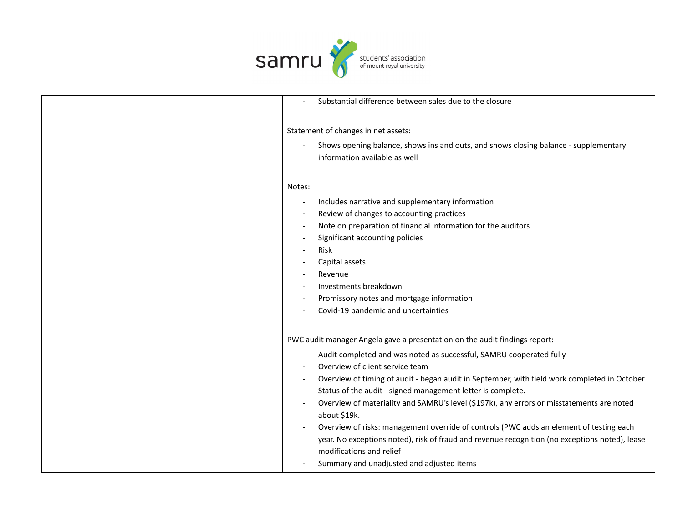

|                          | Substantial difference between sales due to the closure                                                                                                                                                                                                                                                                                                                                                                                                                                                                                                                                                                                                                                                                                |
|--------------------------|----------------------------------------------------------------------------------------------------------------------------------------------------------------------------------------------------------------------------------------------------------------------------------------------------------------------------------------------------------------------------------------------------------------------------------------------------------------------------------------------------------------------------------------------------------------------------------------------------------------------------------------------------------------------------------------------------------------------------------------|
|                          | Statement of changes in net assets:<br>Shows opening balance, shows ins and outs, and shows closing balance - supplementary<br>information available as well                                                                                                                                                                                                                                                                                                                                                                                                                                                                                                                                                                           |
| Notes:                   | Includes narrative and supplementary information<br>Review of changes to accounting practices<br>Note on preparation of financial information for the auditors<br>Significant accounting policies<br><b>Risk</b><br>Capital assets<br>Revenue<br>Investments breakdown<br>Promissory notes and mortgage information<br>Covid-19 pandemic and uncertainties                                                                                                                                                                                                                                                                                                                                                                             |
| $\overline{\phantom{a}}$ | PWC audit manager Angela gave a presentation on the audit findings report:<br>Audit completed and was noted as successful, SAMRU cooperated fully<br>Overview of client service team<br>Overview of timing of audit - began audit in September, with field work completed in October<br>Status of the audit - signed management letter is complete.<br>Overview of materiality and SAMRU's level (\$197k), any errors or misstatements are noted<br>about \$19k.<br>Overview of risks: management override of controls (PWC adds an element of testing each<br>year. No exceptions noted), risk of fraud and revenue recognition (no exceptions noted), lease<br>modifications and relief<br>Summary and unadjusted and adjusted items |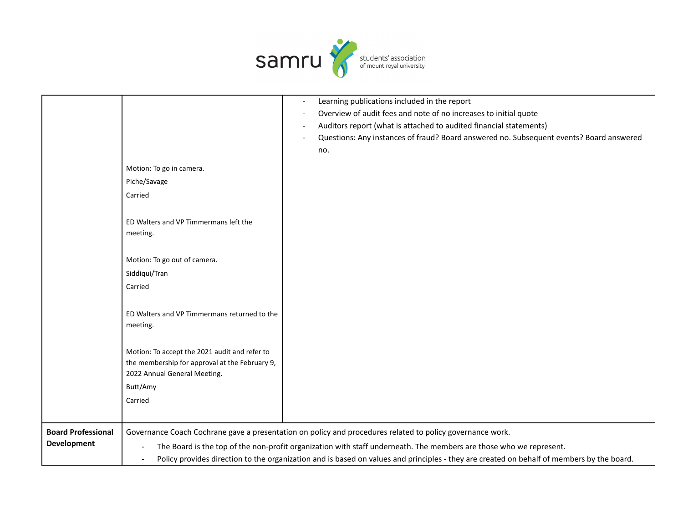

|                           |                                                                                                                    | Learning publications included in the report                                                                                              |
|---------------------------|--------------------------------------------------------------------------------------------------------------------|-------------------------------------------------------------------------------------------------------------------------------------------|
|                           |                                                                                                                    | Overview of audit fees and note of no increases to initial quote                                                                          |
|                           |                                                                                                                    | Auditors report (what is attached to audited financial statements)                                                                        |
|                           |                                                                                                                    | Questions: Any instances of fraud? Board answered no. Subsequent events? Board answered                                                   |
|                           |                                                                                                                    | no.                                                                                                                                       |
|                           |                                                                                                                    |                                                                                                                                           |
|                           | Motion: To go in camera.                                                                                           |                                                                                                                                           |
|                           | Piche/Savage                                                                                                       |                                                                                                                                           |
|                           | Carried                                                                                                            |                                                                                                                                           |
|                           |                                                                                                                    |                                                                                                                                           |
|                           | ED Walters and VP Timmermans left the                                                                              |                                                                                                                                           |
|                           | meeting.                                                                                                           |                                                                                                                                           |
|                           |                                                                                                                    |                                                                                                                                           |
|                           | Motion: To go out of camera.                                                                                       |                                                                                                                                           |
|                           | Siddiqui/Tran                                                                                                      |                                                                                                                                           |
|                           | Carried                                                                                                            |                                                                                                                                           |
|                           |                                                                                                                    |                                                                                                                                           |
|                           | ED Walters and VP Timmermans returned to the                                                                       |                                                                                                                                           |
|                           | meeting.                                                                                                           |                                                                                                                                           |
|                           |                                                                                                                    |                                                                                                                                           |
|                           |                                                                                                                    |                                                                                                                                           |
|                           | Motion: To accept the 2021 audit and refer to<br>the membership for approval at the February 9,                    |                                                                                                                                           |
|                           | 2022 Annual General Meeting.                                                                                       |                                                                                                                                           |
|                           | Butt/Amy                                                                                                           |                                                                                                                                           |
|                           |                                                                                                                    |                                                                                                                                           |
|                           | Carried                                                                                                            |                                                                                                                                           |
|                           |                                                                                                                    |                                                                                                                                           |
| <b>Board Professional</b> |                                                                                                                    | Governance Coach Cochrane gave a presentation on policy and procedures related to policy governance work.                                 |
| <b>Development</b>        | The Board is the top of the non-profit organization with staff underneath. The members are those who we represent. |                                                                                                                                           |
|                           |                                                                                                                    | Policy provides direction to the organization and is based on values and principles - they are created on behalf of members by the board. |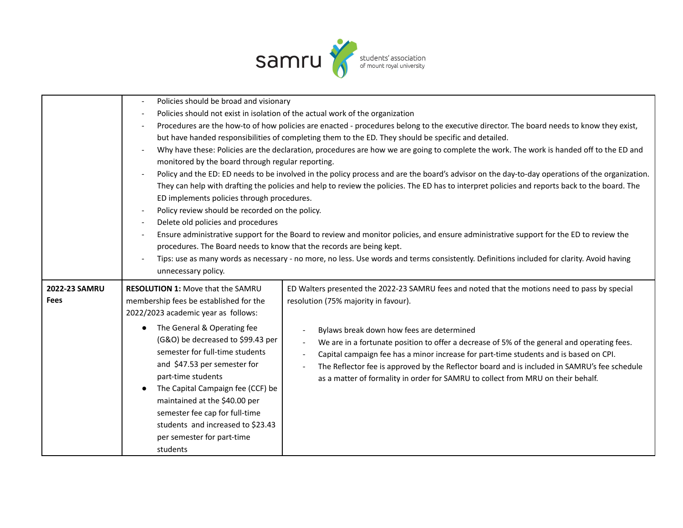

|               |                                                                      | Policies should be broad and visionary                                                                                                                                           |  |  |
|---------------|----------------------------------------------------------------------|----------------------------------------------------------------------------------------------------------------------------------------------------------------------------------|--|--|
|               |                                                                      | Policies should not exist in isolation of the actual work of the organization                                                                                                    |  |  |
|               |                                                                      | Procedures are the how-to of how policies are enacted - procedures belong to the executive director. The board needs to know they exist,                                         |  |  |
|               |                                                                      | but have handed responsibilities of completing them to the ED. They should be specific and detailed.                                                                             |  |  |
|               | $\overline{\phantom{a}}$                                             | Why have these: Policies are the declaration, procedures are how we are going to complete the work. The work is handed off to the ED and                                         |  |  |
|               |                                                                      | monitored by the board through regular reporting.                                                                                                                                |  |  |
|               |                                                                      | Policy and the ED: ED needs to be involved in the policy process and are the board's advisor on the day-to-day operations of the organization.                                   |  |  |
|               |                                                                      | They can help with drafting the policies and help to review the policies. The ED has to interpret policies and reports back to the board. The                                    |  |  |
|               |                                                                      | ED implements policies through procedures.                                                                                                                                       |  |  |
|               | Policy review should be recorded on the policy.                      |                                                                                                                                                                                  |  |  |
|               | Delete old policies and procedures                                   |                                                                                                                                                                                  |  |  |
|               |                                                                      | Ensure administrative support for the Board to review and monitor policies, and ensure administrative support for the ED to review the                                           |  |  |
|               | procedures. The Board needs to know that the records are being kept. |                                                                                                                                                                                  |  |  |
|               |                                                                      | Tips: use as many words as necessary - no more, no less. Use words and terms consistently. Definitions included for clarity. Avoid having                                        |  |  |
|               | unnecessary policy.                                                  |                                                                                                                                                                                  |  |  |
| 2022-23 SAMRU | <b>RESOLUTION 1: Move that the SAMRU</b>                             | ED Walters presented the 2022-23 SAMRU fees and noted that the motions need to pass by special                                                                                   |  |  |
| <b>Fees</b>   | membership fees be established for the                               | resolution (75% majority in favour).                                                                                                                                             |  |  |
|               | 2022/2023 academic year as follows:                                  |                                                                                                                                                                                  |  |  |
|               | The General & Operating fee<br>$\bullet$                             |                                                                                                                                                                                  |  |  |
|               | (G&O) be decreased to \$99.43 per                                    | Bylaws break down how fees are determined                                                                                                                                        |  |  |
|               | semester for full-time students                                      | We are in a fortunate position to offer a decrease of 5% of the general and operating fees.                                                                                      |  |  |
|               | and \$47.53 per semester for                                         | Capital campaign fee has a minor increase for part-time students and is based on CPI.                                                                                            |  |  |
|               | part-time students                                                   | The Reflector fee is approved by the Reflector board and is included in SAMRU's fee schedule<br>as a matter of formality in order for SAMRU to collect from MRU on their behalf. |  |  |
|               | The Capital Campaign fee (CCF) be                                    |                                                                                                                                                                                  |  |  |
|               | maintained at the \$40.00 per                                        |                                                                                                                                                                                  |  |  |
|               | semester fee cap for full-time                                       |                                                                                                                                                                                  |  |  |
|               | students and increased to \$23.43                                    |                                                                                                                                                                                  |  |  |
|               | per semester for part-time                                           |                                                                                                                                                                                  |  |  |
|               | students                                                             |                                                                                                                                                                                  |  |  |